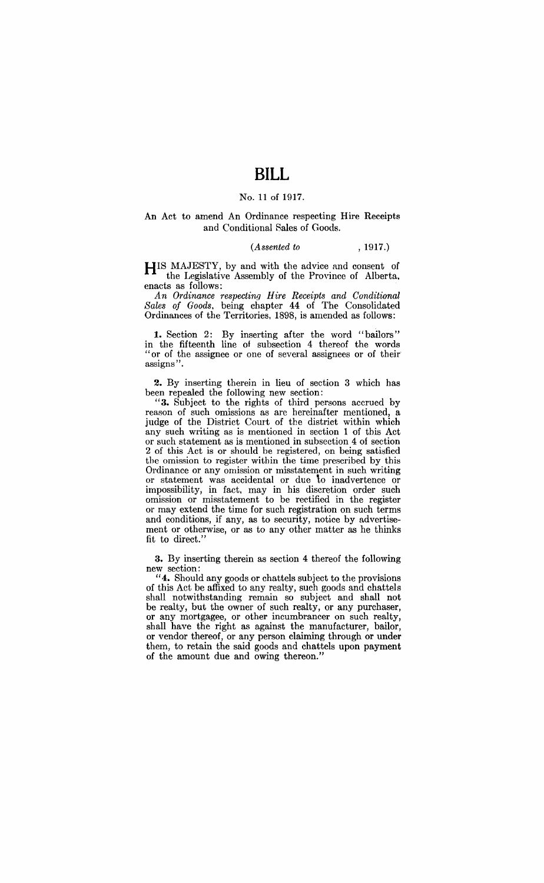# **BILL**

#### No. 11 of 1917.

#### An Act to amend An Ordinance respecting Hire Receipts and Conditional Sales of Goods.

#### *(Assented to* , 1917.)

HIS MAJESTY, by and with the advice and consent of the Legislative Assembly of the Province of Alberta. enacts as follows:

*An Ordinance respectinq Hire Receipts and Condit:ional Sales of Goods.* being chapter 44 of The Consolidated Ordinances of the Territories. 1898, is amended as follows:

**1.** Section 2: By inserting after the word "bailors" in the fifteenth line of subsection 4 thereof the words "or of the assignee or one of several assignees or of their assigns".

**2.** By inserting therein in lieu of section 3 which has been repealed the following new section:

**"3.** Subject to the rights of third persons accrued by reason of such omissions as are hereinafter mentioned, a judge of the District Court of the district within which any such writing as is mentioned in section 1 of this Act or such statement as is mentioned in subsection 4 of section 2 of this Act is or should be registered, on being satisfied the omission to register within the time prescribed by this Ordinance or any omission or misstatement in such writing or statement was accidental or due to inadvertence or impossibility, in fact. may in his discretion order such omission or misstatement to be rectified in the register or may extend the time for such registration on such terms and conditions, if any, as to security, notice by advertisement or otherwise, or as to any other matter as he thinks fit to direct."

**3.** By inserting therein as section 4 thereof the following new section:

**"4.** Should any goods or chattels subject to the provisions of this Act be affixed to any realty, such goods and chattels shall notwithstanding remain so subject and shall not be realty, but the owner of such realty, or any purchaser, or any mortgagee, or other incumbrancer on such realty, shall have the right as against the manufacturer, bailor, or vendor thereof, or any person claiming through or under them, to retain the said goods and chattels upon payment of the amount due and owing thereon."